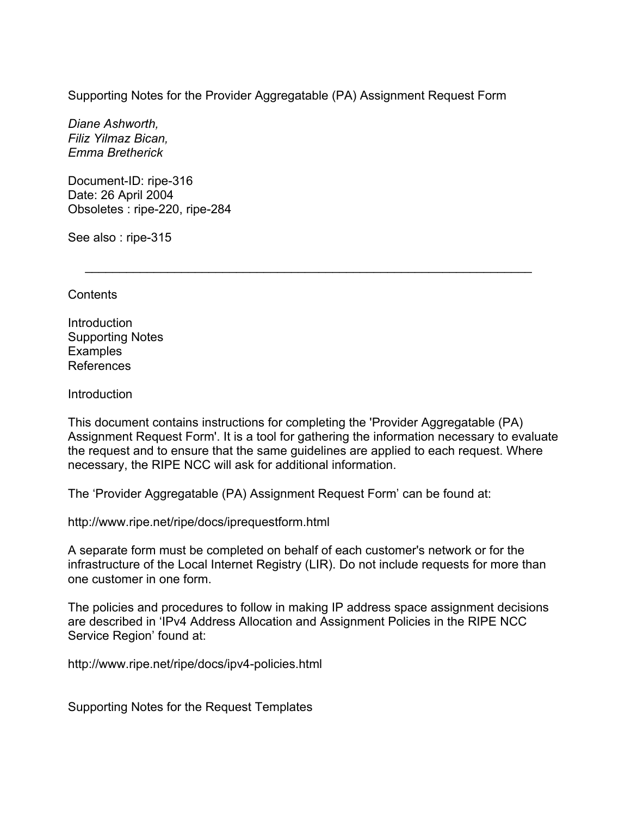Supporting Notes for the Provider Aggregatable (PA) Assignment Request Form

*Diane Ashworth, Filiz Yilmaz Bican, Emma Bretherick* 

Document-ID: ripe-316 Date: 26 April 2004 Obsoletes : ripe-220, ripe-284

See also : ripe-315

**Contents** 

Introduction Supporting Notes Examples References

Introduction

This document contains instructions for completing the 'Provider Aggregatable (PA) Assignment Request Form'. It is a tool for gathering the information necessary to evaluate the request and to ensure that the same guidelines are applied to each request. Where necessary, the RIPE NCC will ask for additional information.

 $\mathcal{L}=\underbrace{\mathcal{L}=\mathcal{L}=\mathcal{L}=\mathcal{L}=\mathcal{L}=\mathcal{L}=\mathcal{L}=\mathcal{L}=\mathcal{L}=\mathcal{L}=\mathcal{L}=\mathcal{L}=\mathcal{L}=\mathcal{L}=\mathcal{L}=\mathcal{L}=\mathcal{L}=\mathcal{L}=\mathcal{L}=\mathcal{L}=\mathcal{L}=\mathcal{L}=\mathcal{L}=\mathcal{L}=\mathcal{L}=\mathcal{L}=\mathcal{L}=\mathcal{L}=\mathcal{L}=\mathcal{L}=\mathcal{L}=\mathcal{L}=\mathcal{L}=\mathcal{L}=\mathcal{L}=\$ 

The 'Provider Aggregatable (PA) Assignment Request Form' can be found at:

http://www.ripe.net/ripe/docs/iprequestform.html

A separate form must be completed on behalf of each customer's network or for the infrastructure of the Local Internet Registry (LIR). Do not include requests for more than one customer in one form.

The policies and procedures to follow in making IP address space assignment decisions are described in 'IPv4 Address Allocation and Assignment Policies in the RIPE NCC Service Region' found at:

http://www.ripe.net/ripe/docs/ipv4-policies.html

Supporting Notes for the Request Templates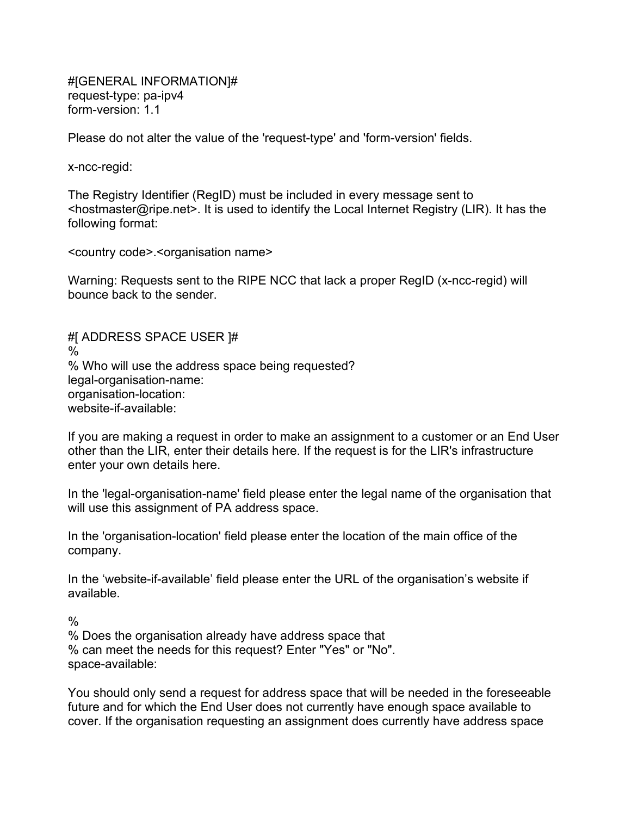#[GENERAL INFORMATION]# request-type: pa-ipv4 form-version: 1.1

Please do not alter the value of the 'request-type' and 'form-version' fields.

x-ncc-regid:

The Registry Identifier (RegID) must be included in every message sent to <hostmaster@ripe.net>. It is used to identify the Local Internet Registry (LIR). It has the following format:

<country code>.<organisation name>

Warning: Requests sent to the RIPE NCC that lack a proper RegID (x-ncc-regid) will bounce back to the sender.

#[ ADDRESS SPACE USER ]# % % Who will use the address space being requested? legal-organisation-name: organisation-location: website-if-available:

If you are making a request in order to make an assignment to a customer or an End User other than the LIR, enter their details here. If the request is for the LIR's infrastructure enter your own details here.

In the 'legal-organisation-name' field please enter the legal name of the organisation that will use this assignment of PA address space.

In the 'organisation-location' field please enter the location of the main office of the company.

In the 'website-if-available' field please enter the URL of the organisation's website if available.

 $\frac{0}{0}$ 

% Does the organisation already have address space that % can meet the needs for this request? Enter "Yes" or "No". space-available:

You should only send a request for address space that will be needed in the foreseeable future and for which the End User does not currently have enough space available to cover. If the organisation requesting an assignment does currently have address space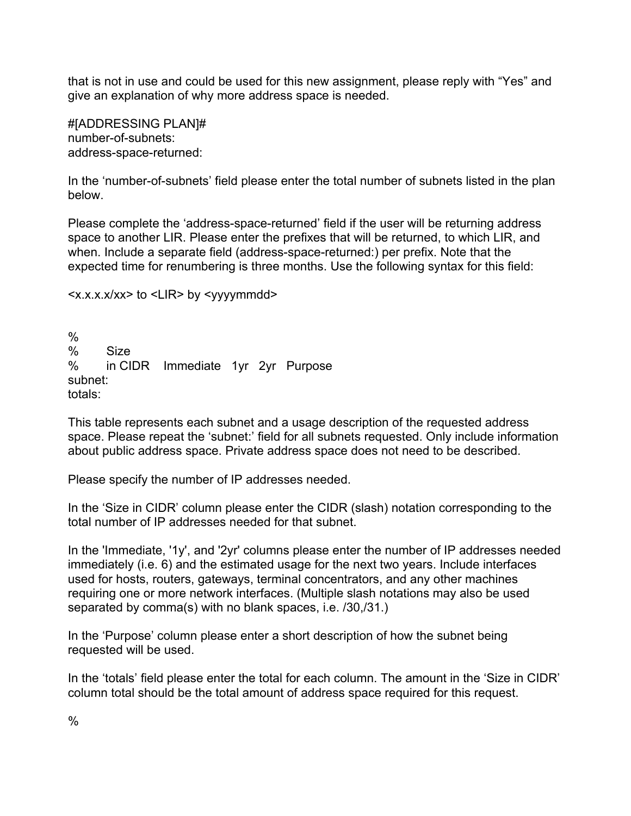that is not in use and could be used for this new assignment, please reply with "Yes" and give an explanation of why more address space is needed.

#[ADDRESSING PLAN]# number-of-subnets: address-space-returned:

In the 'number-of-subnets' field please enter the total number of subnets listed in the plan below.

Please complete the 'address-space-returned' field if the user will be returning address space to another LIR. Please enter the prefixes that will be returned, to which LIR, and when. Include a separate field (address-space-returned:) per prefix. Note that the expected time for renumbering is three months. Use the following syntax for this field:

```
<x.x.x.x/xx> to <LIR> by <yyyymmdd>
```
 $\frac{0}{0}$ % Size % in CIDR Immediate 1yr 2yr Purpose subnet: totals:

This table represents each subnet and a usage description of the requested address space. Please repeat the 'subnet:' field for all subnets requested. Only include information about public address space. Private address space does not need to be described.

Please specify the number of IP addresses needed.

In the 'Size in CIDR' column please enter the CIDR (slash) notation corresponding to the total number of IP addresses needed for that subnet.

In the 'Immediate, '1y', and '2yr' columns please enter the number of IP addresses needed immediately (i.e. 6) and the estimated usage for the next two years. Include interfaces used for hosts, routers, gateways, terminal concentrators, and any other machines requiring one or more network interfaces. (Multiple slash notations may also be used separated by comma(s) with no blank spaces, i.e. /30,/31.)

In the 'Purpose' column please enter a short description of how the subnet being requested will be used.

In the 'totals' field please enter the total for each column. The amount in the 'Size in CIDR' column total should be the total amount of address space required for this request.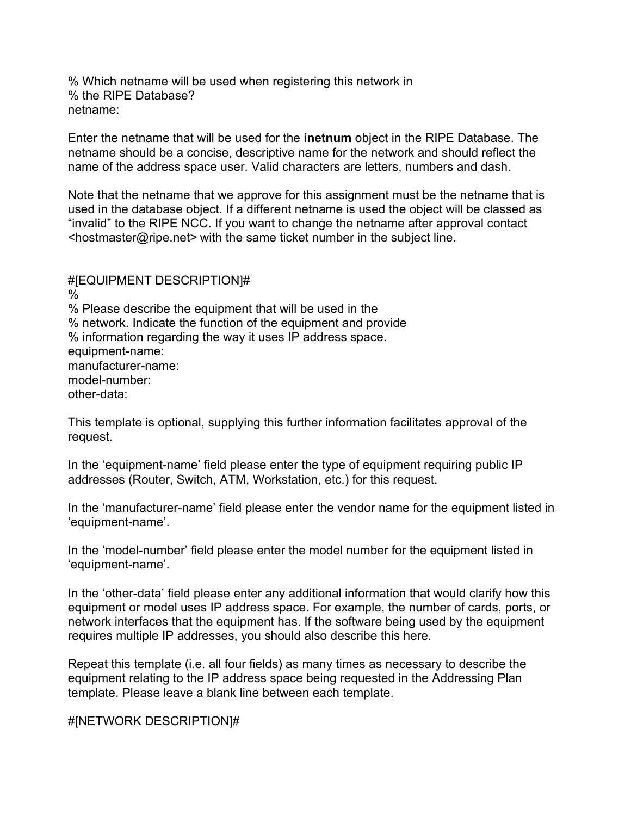% Which netname will be used when registering this network in % the RIPE Database? netname:

Enter the netname that will be used for the **inetnum** object in the RIPE Database. The netname should be a concise, descriptive name for the network and should reflect the name of the address space user. Valid characters are letters, numbers and dash.

Note that the netname that we approve for this assignment must be the netname that is used in the database object. If a different netname is used the object will be classed as "invalid" to the RIPE NCC. If you want to change the netname after approval contact <hostmaster@ripe.net> with the same ticket number in the subject line.

#[EQUIPMENT DESCRIPTION]# % % Please describe the equipment that will be used in the % network. Indicate the function of the equipment and provide % information regarding the way it uses IP address space. equipment-name: manufacturer-name: model-number: other-data:

This template is optional, supplying this further information facilitates approval of the request.

In the 'equipment-name' field please enter the type of equipment requiring public IP addresses (Router, Switch, ATM, Workstation, etc.) for this request.

In the 'manufacturer-name' field please enter the vendor name for the equipment listed in 'equipment-name'.

In the 'model-number' field please enter the model number for the equipment listed in 'equipment-name'.

In the 'other-data' field please enter any additional information that would clarify how this equipment or model uses IP address space. For example, the number of cards, ports, or network interfaces that the equipment has. If the software being used by the equipment requires multiple IP addresses, you should also describe this here.

Repeat this template (i.e. all four fields) as many times as necessary to describe the equipment relating to the IP address space being requested in the Addressing Plan template. Please leave a blank line between each template.

#[NETWORK DESCRIPTION]#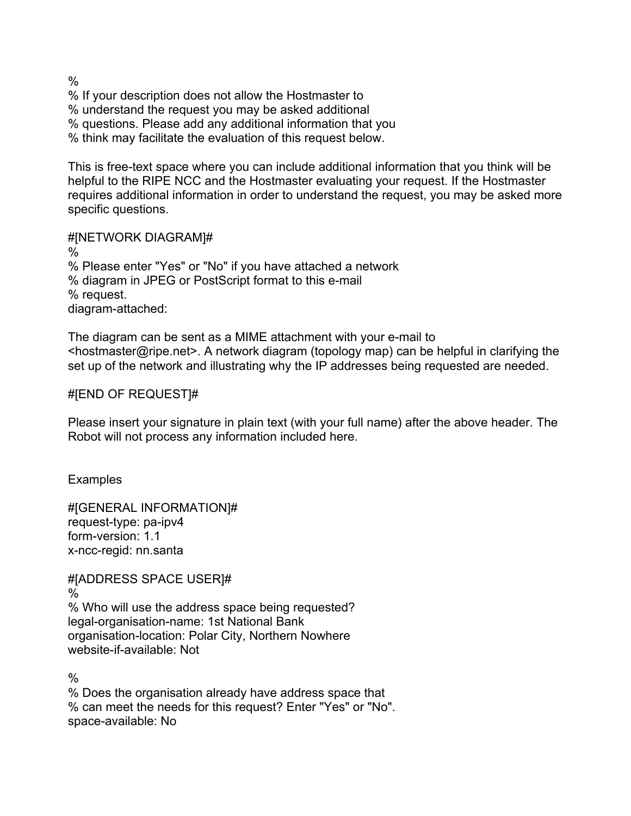% % If your description does not allow the Hostmaster to % understand the request you may be asked additional % questions. Please add any additional information that you % think may facilitate the evaluation of this request below.

This is free-text space where you can include additional information that you think will be helpful to the RIPE NCC and the Hostmaster evaluating your request. If the Hostmaster requires additional information in order to understand the request, you may be asked more specific questions.

### #[NETWORK DIAGRAM]#

% % Please enter "Yes" or "No" if you have attached a network % diagram in JPEG or PostScript format to this e-mail % request. diagram-attached:

The diagram can be sent as a MIME attachment with your e-mail to <hostmaster@ripe.net>. A network diagram (topology map) can be helpful in clarifying the set up of the network and illustrating why the IP addresses being requested are needed.

# #[END OF REQUEST]#

Please insert your signature in plain text (with your full name) after the above header. The Robot will not process any information included here.

**Examples** 

#[GENERAL INFORMATION]# request-type: pa-ipv4 form-version: 1.1 x-ncc-regid: nn.santa

#[ADDRESS SPACE USER]# % % Who will use the address space being requested? legal-organisation-name: 1st National Bank organisation-location: Polar City, Northern Nowhere website-if-available: Not

 $\frac{0}{0}$ 

% Does the organisation already have address space that % can meet the needs for this request? Enter "Yes" or "No". space-available: No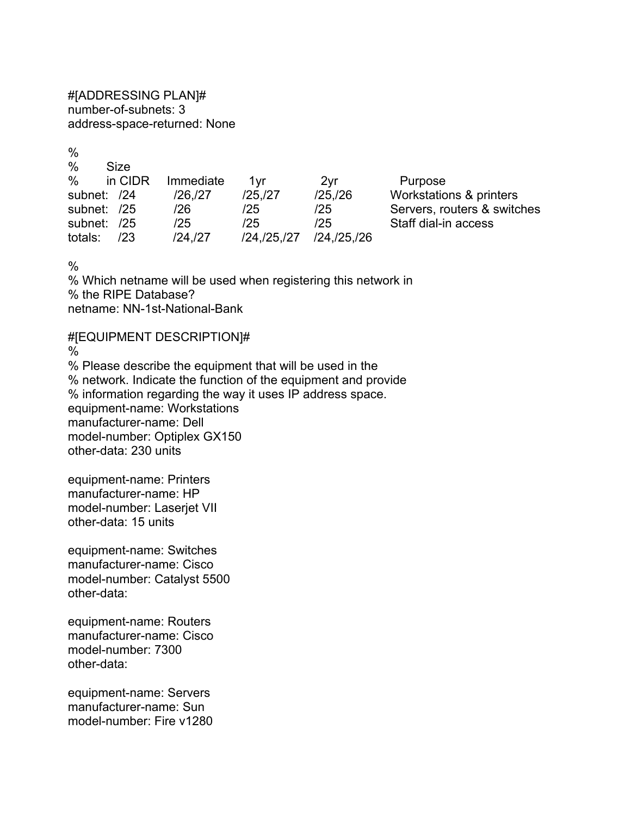#[ADDRESSING PLAN]# number-of-subnets: 3 address-space-returned: None

 $\frac{0}{0}$ % Size % in CIDR Immediate 1yr 2yr Purpose subnet: /24 /26,/27 /25,/27 /25,/26 Workstations & printers subnet: /25 /26 /25 /25 Servers, routers & switches subnet: /25 /25 /25 /25 Staff dial-in access totals: /23 /24,/27 /24,/25,/27 /24,/25,/26

 $\frac{0}{0}$ 

% Which netname will be used when registering this network in % the RIPE Database? netname: NN-1st-National-Bank

#[EQUIPMENT DESCRIPTION]#  $\frac{0}{0}$ % Please describe the equipment that will be used in the % network. Indicate the function of the equipment and provide % information regarding the way it uses IP address space. equipment-name: Workstations manufacturer-name: Dell model-number: Optiplex GX150 other-data: 230 units

equipment-name: Printers manufacturer-name: HP model-number: Laserjet VII other-data: 15 units

equipment-name: Switches manufacturer-name: Cisco model-number: Catalyst 5500 other-data:

equipment-name: Routers manufacturer-name: Cisco model-number: 7300 other-data:

equipment-name: Servers manufacturer-name: Sun model-number: Fire v1280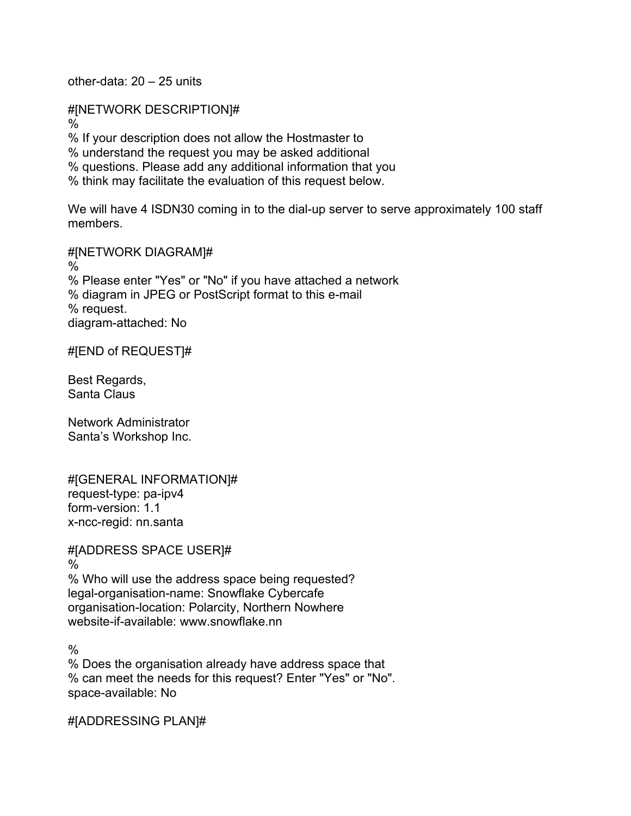other-data: 20 – 25 units

#[NETWORK DESCRIPTION]# % % If your description does not allow the Hostmaster to % understand the request you may be asked additional % questions. Please add any additional information that you % think may facilitate the evaluation of this request below.

We will have 4 ISDN30 coming in to the dial-up server to serve approximately 100 staff members.

#[NETWORK DIAGRAM]# % % Please enter "Yes" or "No" if you have attached a network % diagram in JPEG or PostScript format to this e-mail % request. diagram-attached: No

#[END of REQUEST]#

Best Regards, Santa Claus

Network Administrator Santa's Workshop Inc.

#[GENERAL INFORMATION]# request-type: pa-ipv4 form-version: 1.1 x-ncc-regid: nn.santa

#[ADDRESS SPACE USER]#

%

% Who will use the address space being requested? legal-organisation-name: Snowflake Cybercafe organisation-location: Polarcity, Northern Nowhere website-if-available: www.snowflake.nn

 $\frac{0}{0}$ 

% Does the organisation already have address space that % can meet the needs for this request? Enter "Yes" or "No". space-available: No

#[ADDRESSING PLAN]#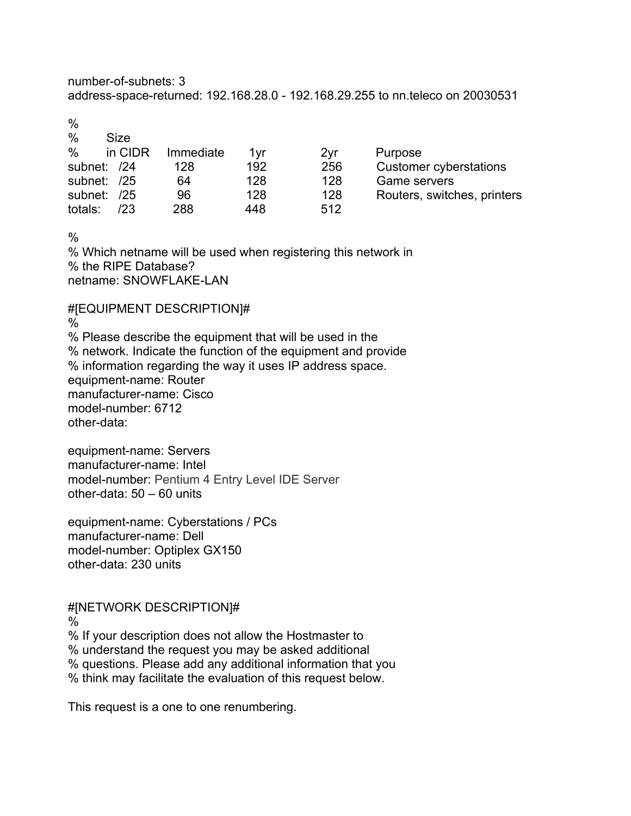number-of-subnets: 3 address-space-returned: 192.168.28.0 - 192.168.29.255 to nn.teleco on 20030531

%

| $\frac{0}{0}$ | Size    |           |     |                 |                               |
|---------------|---------|-----------|-----|-----------------|-------------------------------|
| $\%$          | in CIDR | Immediate | 1vr | 2 <sub>yr</sub> | Purpose                       |
| subnet: /24   |         | 128       | 192 | 256             | <b>Customer cyberstations</b> |
| subnet: /25   |         | 64        | 128 | 128             | <b>Game servers</b>           |
| subnet: /25   |         | 96        | 128 | 128             | Routers, switches, printers   |
| totals:       | /23     | 288       | 448 | 512             |                               |

 $\frac{0}{0}$ 

% Which netname will be used when registering this network in % the RIPE Database? netname: SNOWFLAKE-LAN

#[EQUIPMENT DESCRIPTION]#

% % Please describe the equipment that will be used in the % network. Indicate the function of the equipment and provide % information regarding the way it uses IP address space. equipment-name: Router manufacturer-name: Cisco model-number: 6712 other-data:

equipment-name: Servers manufacturer-name: Intel model-number: Pentium 4 Entry Level IDE Server other-data: 50 – 60 units

equipment-name: Cyberstations / PCs manufacturer-name: Dell model-number: Optiplex GX150 other-data: 230 units

#[NETWORK DESCRIPTION]# %

% If your description does not allow the Hostmaster to % understand the request you may be asked additional % questions. Please add any additional information that you % think may facilitate the evaluation of this request below.

This request is a one to one renumbering.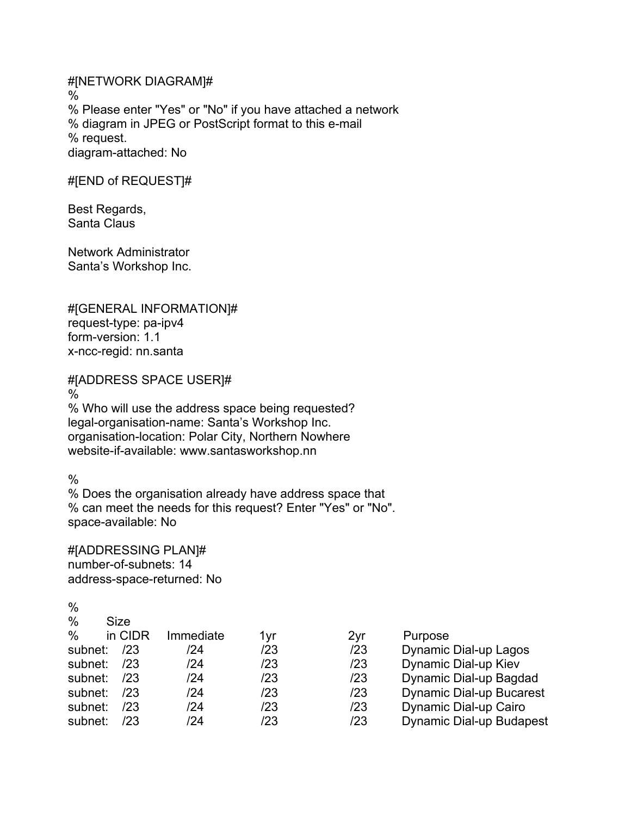#[NETWORK DIAGRAM]# % % Please enter "Yes" or "No" if you have attached a network % diagram in JPEG or PostScript format to this e-mail % request. diagram-attached: No

#[END of REQUEST]#

Best Regards, Santa Claus

Network Administrator Santa's Workshop Inc.

#[GENERAL INFORMATION]# request-type: pa-ipv4 form-version: 1.1 x-ncc-regid: nn.santa

#[ADDRESS SPACE USER]#

%

% Who will use the address space being requested? legal-organisation-name: Santa's Workshop Inc. organisation-location: Polar City, Northern Nowhere website-if-available: www.santasworkshop.nn

%

% Does the organisation already have address space that % can meet the needs for this request? Enter "Yes" or "No". space-available: No

#[ADDRESSING PLAN]# number-of-subnets: 14 address-space-returned: No

| $\%$    | Size    |           |     |     |                                 |
|---------|---------|-----------|-----|-----|---------------------------------|
| $\%$    | in CIDR | Immediate | 1vr | 2yr | Purpose                         |
| subnet: | /23     | /24       | /23 | /23 | <b>Dynamic Dial-up Lagos</b>    |
| subnet: | 123     | /24       | /23 | /23 | Dynamic Dial-up Kiev            |
| subnet: | /23     | /24       | /23 | /23 | Dynamic Dial-up Bagdad          |
| subnet: | /23     | /24       | /23 | /23 | <b>Dynamic Dial-up Bucarest</b> |
| subnet: | /23     | /24       | /23 | /23 | Dynamic Dial-up Cairo           |
| subnet: | /23     | /24       | /23 | /23 | <b>Dynamic Dial-up Budapest</b> |
|         |         |           |     |     |                                 |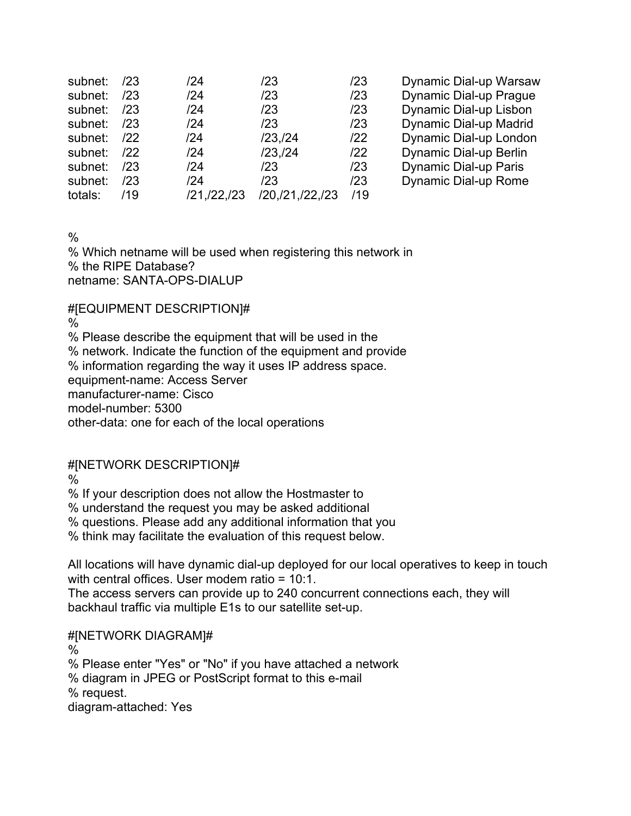| subnet: | /23 | /24           | /23                | /23 | Dynamic Dial-up Warsaw |
|---------|-----|---------------|--------------------|-----|------------------------|
| subnet: | /23 | /24           | /23                | /23 | Dynamic Dial-up Prague |
| subnet: | /23 | /24           | /23                | /23 | Dynamic Dial-up Lisbon |
| subnet: | /23 | /24           | /23                | /23 | Dynamic Dial-up Madrid |
| subnet: | 122 | /24           | $/23$ , $/24$      | 122 | Dynamic Dial-up London |
| subnet: | 122 | /24           | /23, /24           | 122 | Dynamic Dial-up Berlin |
| subnet: | /23 | /24           | /23                | /23 | Dynamic Dial-up Paris  |
| subnet: | /23 | /24           | /23                | /23 | Dynamic Dial-up Rome   |
| totals: | /19 | /21, /22, /23 | /20, /21, /22, /23 | /19 |                        |

 $\frac{0}{0}$ 

% Which netname will be used when registering this network in % the RIPE Database? netname: SANTA-OPS-DIALUP

#[EQUIPMENT DESCRIPTION]#

%

% Please describe the equipment that will be used in the

% network. Indicate the function of the equipment and provide

% information regarding the way it uses IP address space.

equipment-name: Access Server

manufacturer-name: Cisco

model-number: 5300

other-data: one for each of the local operations

# #[NETWORK DESCRIPTION]#

%

% If your description does not allow the Hostmaster to

% understand the request you may be asked additional

% questions. Please add any additional information that you

% think may facilitate the evaluation of this request below.

All locations will have dynamic dial-up deployed for our local operatives to keep in touch with central offices. User modem ratio = 10:1.

The access servers can provide up to 240 concurrent connections each, they will backhaul traffic via multiple E1s to our satellite set-up.

# #[NETWORK DIAGRAM]#

%

% Please enter "Yes" or "No" if you have attached a network

% diagram in JPEG or PostScript format to this e-mail

% request.

diagram-attached: Yes